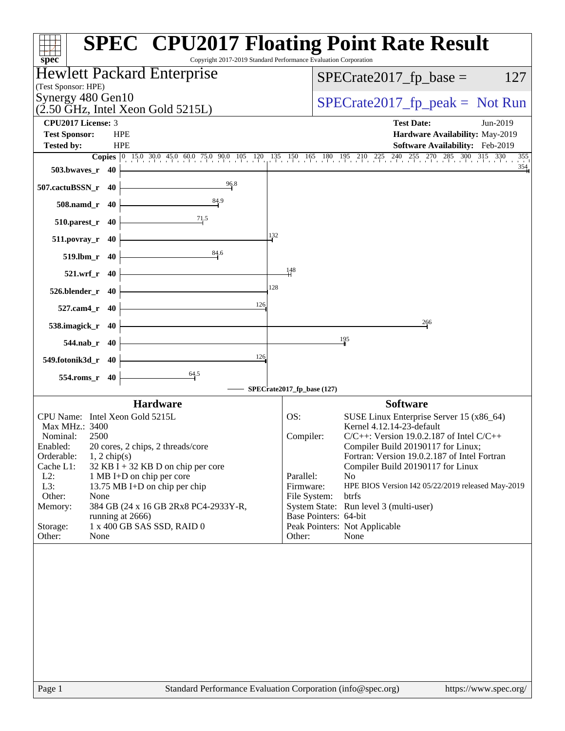| <b>SPEC<sup>®</sup> CPU2017 Floating Point Rate Result</b><br>Copyright 2017-2019 Standard Performance Evaluation Corporation<br>$spec^*$ |                                                                                                                      |
|-------------------------------------------------------------------------------------------------------------------------------------------|----------------------------------------------------------------------------------------------------------------------|
| Hewlett Packard Enterprise                                                                                                                | $SPECrate2017_fp\_base =$<br>127                                                                                     |
| (Test Sponsor: HPE)                                                                                                                       |                                                                                                                      |
| Synergy 480 Gen10<br>$(2.50 \text{ GHz}, \text{Intel Xeon Gold } 5215L)$                                                                  | $SPECrate2017rfp peak = Not Run$                                                                                     |
| <b>CPU2017 License: 3</b>                                                                                                                 | <b>Test Date:</b><br>Jun-2019                                                                                        |
| <b>Test Sponsor:</b><br><b>HPE</b>                                                                                                        | Hardware Availability: May-2019                                                                                      |
| <b>HPE</b><br><b>Tested by:</b>                                                                                                           | Software Availability: Feb-2019<br>355                                                                               |
| $503.bwaves_r$ 40                                                                                                                         | <b>Copies</b> 0 15.0 30.0 45.0 60.0 75.0 90.0 105 120 135 150 165 180 195 210 225 240 255 270 285 300 315 330<br>354 |
| 96.8<br>507.cactuBSSN_r 40                                                                                                                |                                                                                                                      |
| 84.9<br>508.namd_r 40                                                                                                                     |                                                                                                                      |
| 71.5<br>$510.parest_r$ 40                                                                                                                 |                                                                                                                      |
| 132<br>511.povray_r 40                                                                                                                    |                                                                                                                      |
| 84.6<br>519.lbm_r 40                                                                                                                      |                                                                                                                      |
| 148<br>521.wrf_r 40                                                                                                                       |                                                                                                                      |
| 128<br>526.blender_r 40<br>126                                                                                                            |                                                                                                                      |
| 527.cam4_r 40                                                                                                                             | 266                                                                                                                  |
| 538.imagick_r 40                                                                                                                          | 195                                                                                                                  |
| 544.nab_r 40<br>126                                                                                                                       |                                                                                                                      |
| 549.fotonik3d_r 40                                                                                                                        |                                                                                                                      |
| $\frac{64.5}{ }$<br>554.roms_r 40<br>SPECrate2017_fp_base (127)                                                                           |                                                                                                                      |
| <b>Hardware</b>                                                                                                                           | <b>Software</b>                                                                                                      |
| CPU Name: Intel Xeon Gold 5215L<br>OS:                                                                                                    | SUSE Linux Enterprise Server 15 (x86_64)                                                                             |
| Max MHz.: 3400                                                                                                                            | Kernel 4.12.14-23-default                                                                                            |
| Nominal:<br>2500                                                                                                                          | $C/C++$ : Version 19.0.2.187 of Intel $C/C++$<br>Compiler:                                                           |
| 20 cores, 2 chips, 2 threads/core<br>Enabled:<br>Orderable:<br>$1, 2$ chip(s)                                                             | Compiler Build 20190117 for Linux;<br>Fortran: Version 19.0.2.187 of Intel Fortran                                   |
| Cache L1:<br>$32$ KB I + 32 KB D on chip per core                                                                                         | Compiler Build 20190117 for Linux                                                                                    |
| $L2$ :<br>1 MB I+D on chip per core                                                                                                       | Parallel:<br>N <sub>0</sub>                                                                                          |
| L3:<br>13.75 MB I+D on chip per chip                                                                                                      | Firmware:<br>HPE BIOS Version I42 05/22/2019 released May-2019                                                       |
| Other:<br>None<br>384 GB (24 x 16 GB 2Rx8 PC4-2933Y-R,                                                                                    | File System:<br><b>btrfs</b><br>System State: Run level 3 (multi-user)                                               |
| Memory:<br>running at 2666)                                                                                                               | Base Pointers: 64-bit                                                                                                |
| 1 x 400 GB SAS SSD, RAID 0<br>Storage:                                                                                                    | Peak Pointers: Not Applicable                                                                                        |
| Other:<br>None                                                                                                                            | Other:<br>None                                                                                                       |
|                                                                                                                                           |                                                                                                                      |
| Standard Performance Evaluation Corporation (info@spec.org)<br>Page 1                                                                     | https://www.spec.org/                                                                                                |
|                                                                                                                                           |                                                                                                                      |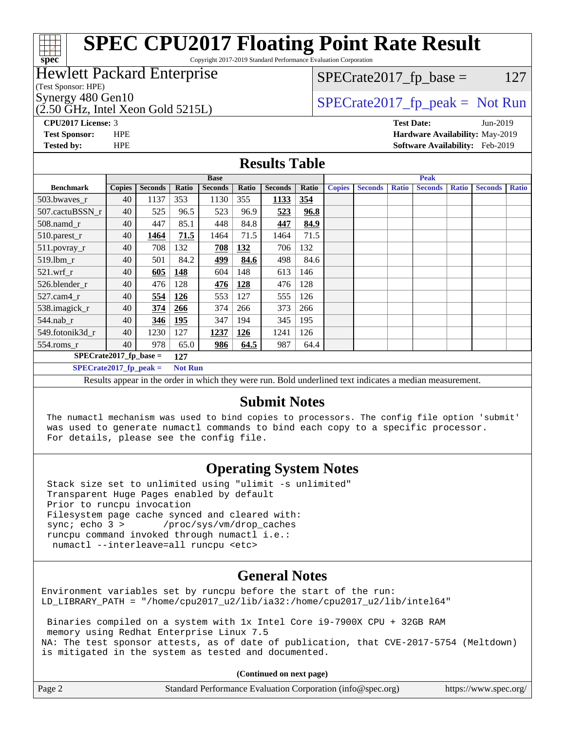# **[spec](http://www.spec.org/)**

# **[SPEC CPU2017 Floating Point Rate Result](http://www.spec.org/auto/cpu2017/Docs/result-fields.html#SPECCPU2017FloatingPointRateResult)**

Copyright 2017-2019 Standard Performance Evaluation Corporation

# Hewlett Packard Enterprise

(Test Sponsor: HPE)

(2.50 GHz, Intel Xeon Gold 5215L)

 $SPECTate2017<sub>fr</sub> base = 127$ 

# Synergy 480 Gen10  $S^{perg}$  [SPECrate2017\\_fp\\_peak =](http://www.spec.org/auto/cpu2017/Docs/result-fields.html#SPECrate2017fppeak) Not Run

**[CPU2017 License:](http://www.spec.org/auto/cpu2017/Docs/result-fields.html#CPU2017License)** 3 **[Test Date:](http://www.spec.org/auto/cpu2017/Docs/result-fields.html#TestDate)** Jun-2019 **[Test Sponsor:](http://www.spec.org/auto/cpu2017/Docs/result-fields.html#TestSponsor)** HPE **[Hardware Availability:](http://www.spec.org/auto/cpu2017/Docs/result-fields.html#HardwareAvailability)** May-2019 **[Tested by:](http://www.spec.org/auto/cpu2017/Docs/result-fields.html#Testedby)** HPE **[Software Availability:](http://www.spec.org/auto/cpu2017/Docs/result-fields.html#SoftwareAvailability)** Feb-2019

### **[Results Table](http://www.spec.org/auto/cpu2017/Docs/result-fields.html#ResultsTable)**

|                          | <b>Base</b>   |                |                |                |       |                | <b>Peak</b> |               |                |              |                |              |                |              |
|--------------------------|---------------|----------------|----------------|----------------|-------|----------------|-------------|---------------|----------------|--------------|----------------|--------------|----------------|--------------|
| <b>Benchmark</b>         | <b>Copies</b> | <b>Seconds</b> | Ratio          | <b>Seconds</b> | Ratio | <b>Seconds</b> | Ratio       | <b>Copies</b> | <b>Seconds</b> | <b>Ratio</b> | <b>Seconds</b> | <b>Ratio</b> | <b>Seconds</b> | <b>Ratio</b> |
| 503.bwaves_r             | 40            | 1137           | 353            | 1130           | 355   | 1133           | 354         |               |                |              |                |              |                |              |
| 507.cactuBSSN r          | 40            | 525            | 96.5           | 523            | 96.9  | 523            | 96.8        |               |                |              |                |              |                |              |
| $508$ .namd $r$          | 40            | 447            | 85.1           | 448            | 84.8  | 447            | 84.9        |               |                |              |                |              |                |              |
| 510.parest_r             | 40            | 1464           | 71.5           | 1464           | 71.5  | 1464           | 71.5        |               |                |              |                |              |                |              |
| 511.povray_r             | 40            | 708            | 132            | 708            | 132   | 706            | 132         |               |                |              |                |              |                |              |
| 519.lbm r                | 40            | 501            | 84.2           | 499            | 84.6  | 498            | 84.6        |               |                |              |                |              |                |              |
| $521$ .wrf r             | 40            | 605            | 148            | 604            | 148   | 613            | 146         |               |                |              |                |              |                |              |
| 526.blender r            | 40            | 476            | 128            | 476            | 128   | 476            | 128         |               |                |              |                |              |                |              |
| 527.cam4 r               | 40            | 554            | 126            | 553            | 127   | 555            | 126         |               |                |              |                |              |                |              |
| 538.imagick_r            | 40            | 374            | <u>266</u>     | 374            | 266   | 373            | 266         |               |                |              |                |              |                |              |
| $544$ .nab_r             | 40            | 346            | <b>195</b>     | 347            | 194   | 345            | 195         |               |                |              |                |              |                |              |
| 549.fotonik3d r          | 40            | 1230           | 127            | 1237           | 126   | 1241           | 126         |               |                |              |                |              |                |              |
| $554$ .roms $r$          | 40            | 978            | 65.0           | 986            | 64.5  | 987            | 64.4        |               |                |              |                |              |                |              |
| $SPECrate2017$ fp base = |               |                | 127            |                |       |                |             |               |                |              |                |              |                |              |
| $SPECrate2017$ fp peak = |               |                | <b>Not Run</b> |                |       |                |             |               |                |              |                |              |                |              |

Results appear in the [order in which they were run.](http://www.spec.org/auto/cpu2017/Docs/result-fields.html#RunOrder) Bold underlined text [indicates a median measurement.](http://www.spec.org/auto/cpu2017/Docs/result-fields.html#Median)

# **[Submit Notes](http://www.spec.org/auto/cpu2017/Docs/result-fields.html#SubmitNotes)**

 The numactl mechanism was used to bind copies to processors. The config file option 'submit' was used to generate numactl commands to bind each copy to a specific processor. For details, please see the config file.

# **[Operating System Notes](http://www.spec.org/auto/cpu2017/Docs/result-fields.html#OperatingSystemNotes)**

 Stack size set to unlimited using "ulimit -s unlimited" Transparent Huge Pages enabled by default Prior to runcpu invocation Filesystem page cache synced and cleared with: sync; echo 3 > /proc/sys/vm/drop\_caches runcpu command invoked through numactl i.e.: numactl --interleave=all runcpu <etc>

# **[General Notes](http://www.spec.org/auto/cpu2017/Docs/result-fields.html#GeneralNotes)**

Environment variables set by runcpu before the start of the run: LD\_LIBRARY\_PATH = "/home/cpu2017\_u2/lib/ia32:/home/cpu2017\_u2/lib/intel64"

 Binaries compiled on a system with 1x Intel Core i9-7900X CPU + 32GB RAM memory using Redhat Enterprise Linux 7.5 NA: The test sponsor attests, as of date of publication, that CVE-2017-5754 (Meltdown) is mitigated in the system as tested and documented.

**(Continued on next page)**

| Page 2 | Standard Performance Evaluation Corporation (info@spec.org) | https://www.spec.org/ |
|--------|-------------------------------------------------------------|-----------------------|
|--------|-------------------------------------------------------------|-----------------------|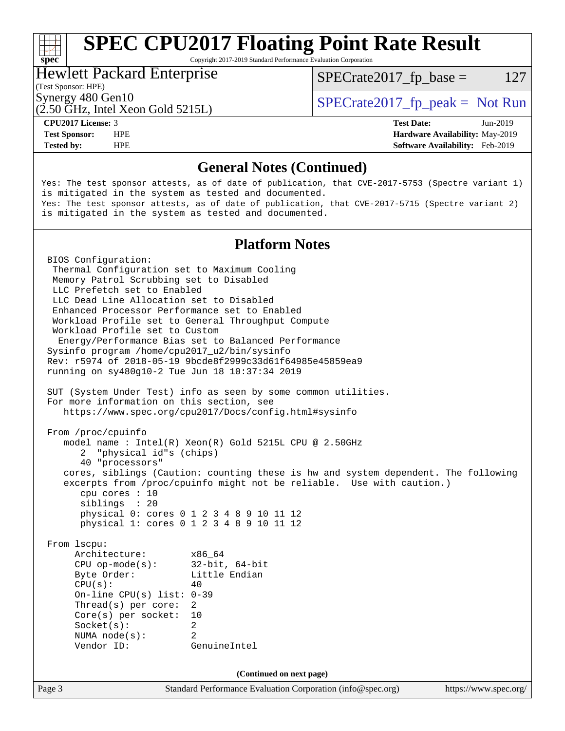# **[SPEC CPU2017 Floating Point Rate Result](http://www.spec.org/auto/cpu2017/Docs/result-fields.html#SPECCPU2017FloatingPointRateResult)**

Copyright 2017-2019 Standard Performance Evaluation Corporation

# Hewlett Packard Enterprise

 $SPECTate2017<sub>fr</sub> base = 127$ 

### (Test Sponsor: HPE)

(2.50 GHz, Intel Xeon Gold 5215L)

Synergy 480 Gen10  $S^{per}$  [SPECrate2017\\_fp\\_peak =](http://www.spec.org/auto/cpu2017/Docs/result-fields.html#SPECrate2017fppeak) Not Run

**[spec](http://www.spec.org/)**<sup>®</sup>

**[Tested by:](http://www.spec.org/auto/cpu2017/Docs/result-fields.html#Testedby)** HPE **[Software Availability:](http://www.spec.org/auto/cpu2017/Docs/result-fields.html#SoftwareAvailability)** Feb-2019

**[CPU2017 License:](http://www.spec.org/auto/cpu2017/Docs/result-fields.html#CPU2017License)** 3 **[Test Date:](http://www.spec.org/auto/cpu2017/Docs/result-fields.html#TestDate)** Jun-2019 **[Test Sponsor:](http://www.spec.org/auto/cpu2017/Docs/result-fields.html#TestSponsor)** HPE **[Hardware Availability:](http://www.spec.org/auto/cpu2017/Docs/result-fields.html#HardwareAvailability)** May-2019

## **[General Notes \(Continued\)](http://www.spec.org/auto/cpu2017/Docs/result-fields.html#GeneralNotes)**

Yes: The test sponsor attests, as of date of publication, that CVE-2017-5753 (Spectre variant 1) is mitigated in the system as tested and documented. Yes: The test sponsor attests, as of date of publication, that CVE-2017-5715 (Spectre variant 2) is mitigated in the system as tested and documented.

# **[Platform Notes](http://www.spec.org/auto/cpu2017/Docs/result-fields.html#PlatformNotes)**

Page 3 Standard Performance Evaluation Corporation [\(info@spec.org\)](mailto:info@spec.org) <https://www.spec.org/> BIOS Configuration: Thermal Configuration set to Maximum Cooling Memory Patrol Scrubbing set to Disabled LLC Prefetch set to Enabled LLC Dead Line Allocation set to Disabled Enhanced Processor Performance set to Enabled Workload Profile set to General Throughput Compute Workload Profile set to Custom Energy/Performance Bias set to Balanced Performance Sysinfo program /home/cpu2017\_u2/bin/sysinfo Rev: r5974 of 2018-05-19 9bcde8f2999c33d61f64985e45859ea9 running on sy480g10-2 Tue Jun 18 10:37:34 2019 SUT (System Under Test) info as seen by some common utilities. For more information on this section, see <https://www.spec.org/cpu2017/Docs/config.html#sysinfo> From /proc/cpuinfo model name : Intel(R) Xeon(R) Gold 5215L CPU @ 2.50GHz 2 "physical id"s (chips) 40 "processors" cores, siblings (Caution: counting these is hw and system dependent. The following excerpts from /proc/cpuinfo might not be reliable. Use with caution.) cpu cores : 10 siblings : 20 physical 0: cores 0 1 2 3 4 8 9 10 11 12 physical 1: cores 0 1 2 3 4 8 9 10 11 12 From lscpu: Architecture: x86\_64 CPU op-mode(s): 32-bit, 64-bit Byte Order: Little Endian  $CPU(s):$  40 On-line CPU(s) list: 0-39 Thread(s) per core: 2 Core(s) per socket: 10 Socket(s): 2 NUMA node(s): 2 Vendor ID: GenuineIntel **(Continued on next page)**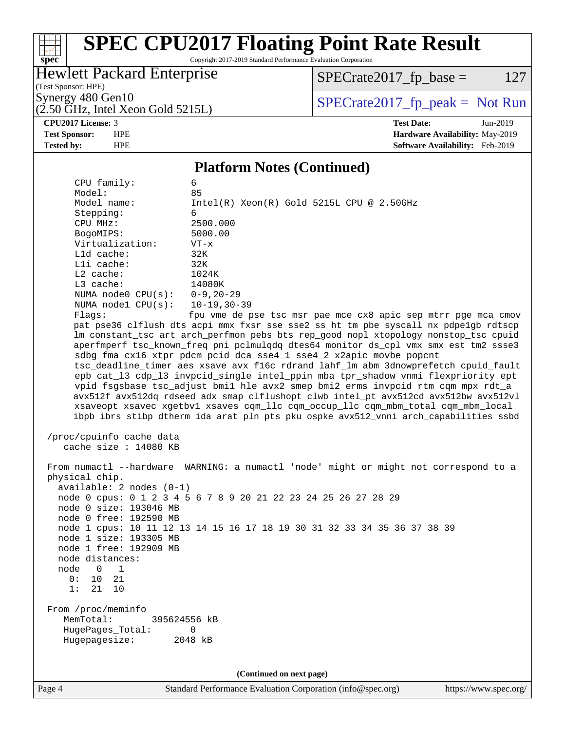# **[spec](http://www.spec.org/)**

# **[SPEC CPU2017 Floating Point Rate Result](http://www.spec.org/auto/cpu2017/Docs/result-fields.html#SPECCPU2017FloatingPointRateResult)**

Copyright 2017-2019 Standard Performance Evaluation Corporation

# Hewlett Packard Enterprise

 $SPECrate2017_fp\_base = 127$ 

(Test Sponsor: HPE)

 $(2.50 \text{ GHz}, \text{Intel Xeon Gold } 5215L)$ 

Synergy 480 Gen10<br>  $\begin{array}{c|c}\n\text{Specrate2017\_fp\_peak} = \text{Not Run} \\
\hline\n\text{Specrate2017\_fp\_peak} = \text{Not Run} \\
\end{array}$ 

**[CPU2017 License:](http://www.spec.org/auto/cpu2017/Docs/result-fields.html#CPU2017License)** 3 **[Test Date:](http://www.spec.org/auto/cpu2017/Docs/result-fields.html#TestDate)** Jun-2019 **[Test Sponsor:](http://www.spec.org/auto/cpu2017/Docs/result-fields.html#TestSponsor)** HPE **[Hardware Availability:](http://www.spec.org/auto/cpu2017/Docs/result-fields.html#HardwareAvailability)** May-2019 **[Tested by:](http://www.spec.org/auto/cpu2017/Docs/result-fields.html#Testedby)** HPE **[Software Availability:](http://www.spec.org/auto/cpu2017/Docs/result-fields.html#SoftwareAvailability)** Feb-2019

### **[Platform Notes \(Continued\)](http://www.spec.org/auto/cpu2017/Docs/result-fields.html#PlatformNotes)**

|                                                   | 1 Iunioi III 1900s (Continuou)                                                       |
|---------------------------------------------------|--------------------------------------------------------------------------------------|
| CPU family:                                       | 6                                                                                    |
| Model:                                            | 85                                                                                   |
| Model name:                                       | $Intel(R) Xeon(R) Gold 5215L CPU @ 2.50GHz$                                          |
| Stepping:                                         | 6                                                                                    |
| CPU MHz:                                          | 2500.000                                                                             |
| BogoMIPS:                                         | 5000.00                                                                              |
| Virtualization:                                   | $VT - x$                                                                             |
| L1d cache:                                        | 32K                                                                                  |
| Lli cache:                                        | 32K                                                                                  |
| $L2$ cache:                                       | 1024K                                                                                |
| L3 cache:                                         | 14080K                                                                               |
| NUMA node0 $CPU(s): 0-9, 20-29$                   |                                                                                      |
| NUMA $node1$ $CPU(s):$                            | $10 - 19, 30 - 39$                                                                   |
| Flags:                                            | fpu vme de pse tsc msr pae mce cx8 apic sep mtrr pge mca cmov                        |
|                                                   | pat pse36 clflush dts acpi mmx fxsr sse sse2 ss ht tm pbe syscall nx pdpe1gb rdtscp  |
|                                                   | lm constant_tsc art arch_perfmon pebs bts rep_good nopl xtopology nonstop_tsc cpuid  |
|                                                   | aperfmperf tsc_known_freq pni pclmulqdq dtes64 monitor ds_cpl vmx smx est tm2 ssse3  |
|                                                   | sdbg fma cx16 xtpr pdcm pcid dca sse4_1 sse4_2 x2apic movbe popcnt                   |
|                                                   | tsc_deadline_timer aes xsave avx f16c rdrand lahf_lm abm 3dnowprefetch cpuid_fault   |
|                                                   | epb cat_13 cdp_13 invpcid_single intel_ppin mba tpr_shadow vnmi flexpriority ept     |
|                                                   | vpid fsgsbase tsc_adjust bmil hle avx2 smep bmi2 erms invpcid rtm cqm mpx rdt_a      |
|                                                   | avx512f avx512dq rdseed adx smap clflushopt clwb intel_pt avx512cd avx512bw avx512vl |
|                                                   | xsaveopt xsavec xgetbvl xsaves cqm_llc cqm_occup_llc cqm_mbm_total cqm_mbm_local     |
|                                                   | ibpb ibrs stibp dtherm ida arat pln pts pku ospke avx512_vnni arch_capabilities ssbd |
| /proc/cpuinfo cache data<br>cache size : 14080 KB |                                                                                      |
|                                                   | From numactl --hardware WARNING: a numactl 'node' might or might not correspond to a |
| physical chip.                                    |                                                                                      |
| available: $2$ nodes $(0-1)$                      |                                                                                      |
|                                                   | node 0 cpus: 0 1 2 3 4 5 6 7 8 9 20 21 22 23 24 25 26 27 28 29                       |
| node 0 size: 193046 MB                            |                                                                                      |
| node 0 free: 192590 MB                            |                                                                                      |
|                                                   | node 1 cpus: 10 11 12 13 14 15 16 17 18 19 30 31 32 33 34 35 36 37 38 39             |
| node 1 size: 193305 MB                            |                                                                                      |
| node 1 free: 192909 MB                            |                                                                                      |
| node distances:                                   |                                                                                      |
| node<br>0<br>$\mathbf 1$                          |                                                                                      |
| 0 :<br>10<br>21                                   |                                                                                      |
| 21<br>1:<br>10                                    |                                                                                      |
|                                                   |                                                                                      |
| From /proc/meminfo                                |                                                                                      |
| MemTotal:<br>395624556 kB                         |                                                                                      |
| HugePages_Total:                                  | 0                                                                                    |
| Hugepagesize:                                     | 2048 kB                                                                              |
|                                                   |                                                                                      |
|                                                   |                                                                                      |
|                                                   | (Continued on next page)                                                             |

Page 4 Standard Performance Evaluation Corporation [\(info@spec.org\)](mailto:info@spec.org) <https://www.spec.org/>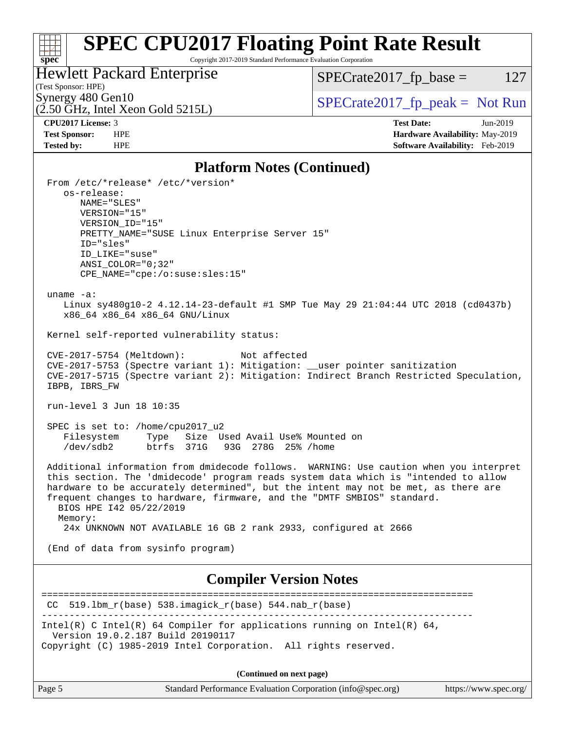#### **[spec](http://www.spec.org/) [SPEC CPU2017 Floating Point Rate Result](http://www.spec.org/auto/cpu2017/Docs/result-fields.html#SPECCPU2017FloatingPointRateResult)** Copyright 2017-2019 Standard Performance Evaluation Corporation

Hewlett Packard Enterprise

 $SPECrate2017_fp\_base = 127$ 

# (Test Sponsor: HPE)

 $(2.50 \text{ GHz}, \text{Intel Xeon Gold } 5215L)$ 

Synergy 480 Gen10<br>  $\begin{array}{c|c}\n\text{Specrate2017\_fp\_peak} = \text{Not Run} \\
\hline\n\text{Specrate2017\_fp\_peak} = \text{Not Run} \\
\end{array}$ 

**[CPU2017 License:](http://www.spec.org/auto/cpu2017/Docs/result-fields.html#CPU2017License)** 3 **[Test Date:](http://www.spec.org/auto/cpu2017/Docs/result-fields.html#TestDate)** Jun-2019 **[Test Sponsor:](http://www.spec.org/auto/cpu2017/Docs/result-fields.html#TestSponsor)** HPE **[Hardware Availability:](http://www.spec.org/auto/cpu2017/Docs/result-fields.html#HardwareAvailability)** May-2019 **[Tested by:](http://www.spec.org/auto/cpu2017/Docs/result-fields.html#Testedby)** HPE **[Software Availability:](http://www.spec.org/auto/cpu2017/Docs/result-fields.html#SoftwareAvailability)** Feb-2019

## **[Platform Notes \(Continued\)](http://www.spec.org/auto/cpu2017/Docs/result-fields.html#PlatformNotes)**

| Thursday (Continueu)                                                                                                                                                      |
|---------------------------------------------------------------------------------------------------------------------------------------------------------------------------|
| From /etc/*release* /etc/*version*                                                                                                                                        |
| os-release:<br>NAME="SLES"                                                                                                                                                |
| VERSION="15"                                                                                                                                                              |
| VERSION_ID="15"                                                                                                                                                           |
| PRETTY_NAME="SUSE Linux Enterprise Server 15"                                                                                                                             |
| ID="sles"<br>ID LIKE="suse"                                                                                                                                               |
| $ANSI$ _COLOR="0;32"                                                                                                                                                      |
| CPE_NAME="cpe:/o:suse:sles:15"                                                                                                                                            |
| uname $-a$ :                                                                                                                                                              |
| Linux sy480g10-2 4.12.14-23-default #1 SMP Tue May 29 21:04:44 UTC 2018 (cd0437b)                                                                                         |
| x86_64 x86_64 x86_64 GNU/Linux                                                                                                                                            |
| Kernel self-reported vulnerability status:                                                                                                                                |
|                                                                                                                                                                           |
| CVE-2017-5754 (Meltdown):<br>Not affected<br>CVE-2017-5753 (Spectre variant 1): Mitigation: __user pointer sanitization                                                   |
| CVE-2017-5715 (Spectre variant 2): Mitigation: Indirect Branch Restricted Speculation,                                                                                    |
| IBPB, IBRS_FW                                                                                                                                                             |
| run-level 3 Jun 18 10:35                                                                                                                                                  |
| SPEC is set to: /home/cpu2017_u2                                                                                                                                          |
| Filesystem<br>Type Size Used Avail Use% Mounted on<br>/dev/sdb2<br>btrfs 371G 93G 278G 25% / home                                                                         |
|                                                                                                                                                                           |
| Additional information from dmidecode follows. WARNING: Use caution when you interpret                                                                                    |
| this section. The 'dmidecode' program reads system data which is "intended to allow<br>hardware to be accurately determined", but the intent may not be met, as there are |
| frequent changes to hardware, firmware, and the "DMTF SMBIOS" standard.                                                                                                   |
| BIOS HPE 142 05/22/2019                                                                                                                                                   |
| Memory:<br>24x UNKNOWN NOT AVAILABLE 16 GB 2 rank 2933, configured at 2666                                                                                                |
|                                                                                                                                                                           |
| (End of data from sysinfo program)                                                                                                                                        |
| <b>Compiler Version Notes</b>                                                                                                                                             |
|                                                                                                                                                                           |
| $519.1$ bm_r(base) $538.imagick_r(base)$ $544.nab_r(base)$<br>CC.                                                                                                         |
| Intel(R) C Intel(R) 64 Compiler for applications running on Intel(R) 64,                                                                                                  |
| Version 19.0.2.187 Build 20190117<br>Copyright (C) 1985-2019 Intel Corporation. All rights reserved.                                                                      |
|                                                                                                                                                                           |
| (Continued on next page)                                                                                                                                                  |
|                                                                                                                                                                           |

Page 5 Standard Performance Evaluation Corporation [\(info@spec.org\)](mailto:info@spec.org) <https://www.spec.org/>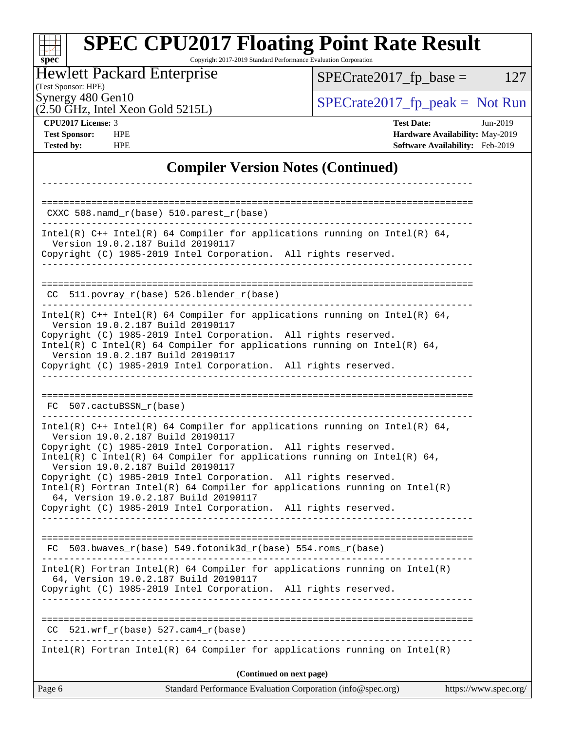#### Page 6 Standard Performance Evaluation Corporation [\(info@spec.org\)](mailto:info@spec.org) <https://www.spec.org/> **[spec](http://www.spec.org/) [SPEC CPU2017 Floating Point Rate Result](http://www.spec.org/auto/cpu2017/Docs/result-fields.html#SPECCPU2017FloatingPointRateResult)** Copyright 2017-2019 Standard Performance Evaluation Corporation (Test Sponsor: HPE) Hewlett Packard Enterprise (2.50 GHz, Intel Xeon Gold 5215L) Synergy 480 Gen10  $S^{perg}$  [SPECrate2017\\_fp\\_peak =](http://www.spec.org/auto/cpu2017/Docs/result-fields.html#SPECrate2017fppeak) Not Run  $SPECTate2017<sub>fr</sub> base = 127$ **[CPU2017 License:](http://www.spec.org/auto/cpu2017/Docs/result-fields.html#CPU2017License)** 3 **[Test Date:](http://www.spec.org/auto/cpu2017/Docs/result-fields.html#TestDate)** Jun-2019 **[Test Sponsor:](http://www.spec.org/auto/cpu2017/Docs/result-fields.html#TestSponsor)** HPE **[Hardware Availability:](http://www.spec.org/auto/cpu2017/Docs/result-fields.html#HardwareAvailability)** May-2019 **[Tested by:](http://www.spec.org/auto/cpu2017/Docs/result-fields.html#Testedby)** HPE **[Software Availability:](http://www.spec.org/auto/cpu2017/Docs/result-fields.html#SoftwareAvailability)** Feb-2019 **[Compiler Version Notes \(Continued\)](http://www.spec.org/auto/cpu2017/Docs/result-fields.html#CompilerVersionNotes)** ------------------------------------------------------------------------------ ============================================================================== CXXC 508.namd\_r(base) 510.parest\_r(base) ------------------------------------------------------------------------------ Intel(R) C++ Intel(R) 64 Compiler for applications running on Intel(R)  $64$ , Version 19.0.2.187 Build 20190117 Copyright (C) 1985-2019 Intel Corporation. All rights reserved. ------------------------------------------------------------------------------ ============================================================================== CC 511.povray\_r(base) 526.blender\_r(base) ------------------------------------------------------------------------------ Intel(R) C++ Intel(R) 64 Compiler for applications running on Intel(R) 64, Version 19.0.2.187 Build 20190117 Copyright (C) 1985-2019 Intel Corporation. All rights reserved. Intel(R) C Intel(R) 64 Compiler for applications running on Intel(R) 64, Version 19.0.2.187 Build 20190117 Copyright (C) 1985-2019 Intel Corporation. All rights reserved. ------------------------------------------------------------------------------ ============================================================================== FC 507.cactuBSSN\_r(base) ------------------------------------------------------------------------------ Intel(R)  $C++$  Intel(R) 64 Compiler for applications running on Intel(R) 64, Version 19.0.2.187 Build 20190117 Copyright (C) 1985-2019 Intel Corporation. All rights reserved. Intel(R) C Intel(R) 64 Compiler for applications running on Intel(R)  $64$ , Version 19.0.2.187 Build 20190117 Copyright (C) 1985-2019 Intel Corporation. All rights reserved. Intel(R) Fortran Intel(R) 64 Compiler for applications running on Intel(R) 64, Version 19.0.2.187 Build 20190117 Copyright (C) 1985-2019 Intel Corporation. All rights reserved. ------------------------------------------------------------------------------ ============================================================================== FC 503.bwaves\_r(base) 549.fotonik3d\_r(base) 554.roms\_r(base) ------------------------------------------------------------------------------ Intel(R) Fortran Intel(R) 64 Compiler for applications running on Intel(R) 64, Version 19.0.2.187 Build 20190117 Copyright (C) 1985-2019 Intel Corporation. All rights reserved. ------------------------------------------------------------------------------ ==============================================================================  $CC$  521.wrf $_r(base)$  527.cam $4_r(base)$ ------------------------------------------------------------------------------ Intel(R) Fortran Intel(R) 64 Compiler for applications running on Intel(R) **(Continued on next page)**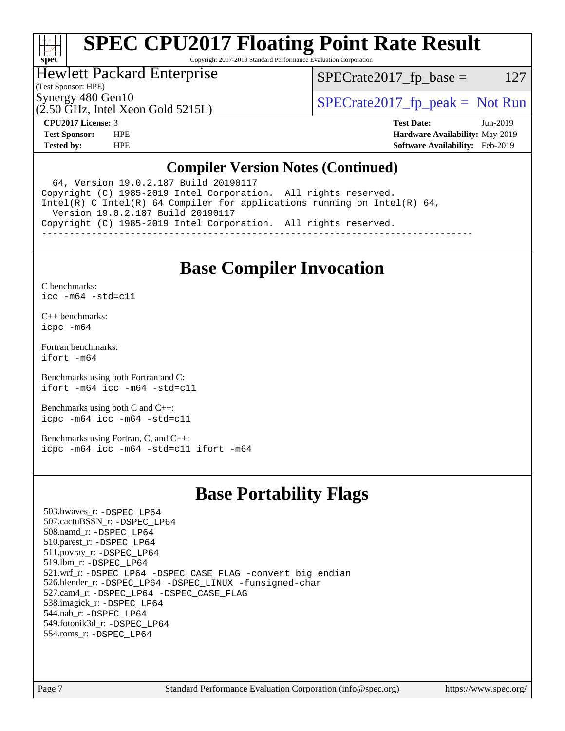# H F **[spec](http://www.spec.org/)**

# **[SPEC CPU2017 Floating Point Rate Result](http://www.spec.org/auto/cpu2017/Docs/result-fields.html#SPECCPU2017FloatingPointRateResult)**

Copyright 2017-2019 Standard Performance Evaluation Corporation

# Hewlett Packard Enterprise

 $SPECTate2017<sub>fp</sub> base = 127$ 

# (Test Sponsor: HPE)

(2.50 GHz, Intel Xeon Gold 5215L)

Synergy 480 Gen10  $S^{perg}$  [SPECrate2017\\_fp\\_peak =](http://www.spec.org/auto/cpu2017/Docs/result-fields.html#SPECrate2017fppeak) Not Run

**[CPU2017 License:](http://www.spec.org/auto/cpu2017/Docs/result-fields.html#CPU2017License)** 3 **[Test Date:](http://www.spec.org/auto/cpu2017/Docs/result-fields.html#TestDate)** Jun-2019 **[Test Sponsor:](http://www.spec.org/auto/cpu2017/Docs/result-fields.html#TestSponsor)** HPE **[Hardware Availability:](http://www.spec.org/auto/cpu2017/Docs/result-fields.html#HardwareAvailability)** May-2019 **[Tested by:](http://www.spec.org/auto/cpu2017/Docs/result-fields.html#Testedby)** HPE **[Software Availability:](http://www.spec.org/auto/cpu2017/Docs/result-fields.html#SoftwareAvailability)** Feb-2019

# **[Compiler Version Notes \(Continued\)](http://www.spec.org/auto/cpu2017/Docs/result-fields.html#CompilerVersionNotes)**

 64, Version 19.0.2.187 Build 20190117 Copyright (C) 1985-2019 Intel Corporation. All rights reserved. Intel(R) C Intel(R) 64 Compiler for applications running on Intel(R) 64, Version 19.0.2.187 Build 20190117 Copyright (C) 1985-2019 Intel Corporation. All rights reserved. ------------------------------------------------------------------------------

# **[Base Compiler Invocation](http://www.spec.org/auto/cpu2017/Docs/result-fields.html#BaseCompilerInvocation)**

[C benchmarks](http://www.spec.org/auto/cpu2017/Docs/result-fields.html#Cbenchmarks):

[icc -m64 -std=c11](http://www.spec.org/cpu2017/results/res2019q3/cpu2017-20190709-16118.flags.html#user_CCbase_intel_icc_64bit_c11_33ee0cdaae7deeeab2a9725423ba97205ce30f63b9926c2519791662299b76a0318f32ddfffdc46587804de3178b4f9328c46fa7c2b0cd779d7a61945c91cd35)

[C++ benchmarks:](http://www.spec.org/auto/cpu2017/Docs/result-fields.html#CXXbenchmarks) [icpc -m64](http://www.spec.org/cpu2017/results/res2019q3/cpu2017-20190709-16118.flags.html#user_CXXbase_intel_icpc_64bit_4ecb2543ae3f1412ef961e0650ca070fec7b7afdcd6ed48761b84423119d1bf6bdf5cad15b44d48e7256388bc77273b966e5eb805aefd121eb22e9299b2ec9d9)

[Fortran benchmarks](http://www.spec.org/auto/cpu2017/Docs/result-fields.html#Fortranbenchmarks): [ifort -m64](http://www.spec.org/cpu2017/results/res2019q3/cpu2017-20190709-16118.flags.html#user_FCbase_intel_ifort_64bit_24f2bb282fbaeffd6157abe4f878425411749daecae9a33200eee2bee2fe76f3b89351d69a8130dd5949958ce389cf37ff59a95e7a40d588e8d3a57e0c3fd751)

[Benchmarks using both Fortran and C](http://www.spec.org/auto/cpu2017/Docs/result-fields.html#BenchmarksusingbothFortranandC): [ifort -m64](http://www.spec.org/cpu2017/results/res2019q3/cpu2017-20190709-16118.flags.html#user_CC_FCbase_intel_ifort_64bit_24f2bb282fbaeffd6157abe4f878425411749daecae9a33200eee2bee2fe76f3b89351d69a8130dd5949958ce389cf37ff59a95e7a40d588e8d3a57e0c3fd751) [icc -m64 -std=c11](http://www.spec.org/cpu2017/results/res2019q3/cpu2017-20190709-16118.flags.html#user_CC_FCbase_intel_icc_64bit_c11_33ee0cdaae7deeeab2a9725423ba97205ce30f63b9926c2519791662299b76a0318f32ddfffdc46587804de3178b4f9328c46fa7c2b0cd779d7a61945c91cd35)

[Benchmarks using both C and C++](http://www.spec.org/auto/cpu2017/Docs/result-fields.html#BenchmarksusingbothCandCXX): [icpc -m64](http://www.spec.org/cpu2017/results/res2019q3/cpu2017-20190709-16118.flags.html#user_CC_CXXbase_intel_icpc_64bit_4ecb2543ae3f1412ef961e0650ca070fec7b7afdcd6ed48761b84423119d1bf6bdf5cad15b44d48e7256388bc77273b966e5eb805aefd121eb22e9299b2ec9d9) [icc -m64 -std=c11](http://www.spec.org/cpu2017/results/res2019q3/cpu2017-20190709-16118.flags.html#user_CC_CXXbase_intel_icc_64bit_c11_33ee0cdaae7deeeab2a9725423ba97205ce30f63b9926c2519791662299b76a0318f32ddfffdc46587804de3178b4f9328c46fa7c2b0cd779d7a61945c91cd35)

[Benchmarks using Fortran, C, and C++:](http://www.spec.org/auto/cpu2017/Docs/result-fields.html#BenchmarksusingFortranCandCXX) [icpc -m64](http://www.spec.org/cpu2017/results/res2019q3/cpu2017-20190709-16118.flags.html#user_CC_CXX_FCbase_intel_icpc_64bit_4ecb2543ae3f1412ef961e0650ca070fec7b7afdcd6ed48761b84423119d1bf6bdf5cad15b44d48e7256388bc77273b966e5eb805aefd121eb22e9299b2ec9d9) [icc -m64 -std=c11](http://www.spec.org/cpu2017/results/res2019q3/cpu2017-20190709-16118.flags.html#user_CC_CXX_FCbase_intel_icc_64bit_c11_33ee0cdaae7deeeab2a9725423ba97205ce30f63b9926c2519791662299b76a0318f32ddfffdc46587804de3178b4f9328c46fa7c2b0cd779d7a61945c91cd35) [ifort -m64](http://www.spec.org/cpu2017/results/res2019q3/cpu2017-20190709-16118.flags.html#user_CC_CXX_FCbase_intel_ifort_64bit_24f2bb282fbaeffd6157abe4f878425411749daecae9a33200eee2bee2fe76f3b89351d69a8130dd5949958ce389cf37ff59a95e7a40d588e8d3a57e0c3fd751)

# **[Base Portability Flags](http://www.spec.org/auto/cpu2017/Docs/result-fields.html#BasePortabilityFlags)**

 503.bwaves\_r: [-DSPEC\\_LP64](http://www.spec.org/cpu2017/results/res2019q3/cpu2017-20190709-16118.flags.html#suite_basePORTABILITY503_bwaves_r_DSPEC_LP64) 507.cactuBSSN\_r: [-DSPEC\\_LP64](http://www.spec.org/cpu2017/results/res2019q3/cpu2017-20190709-16118.flags.html#suite_basePORTABILITY507_cactuBSSN_r_DSPEC_LP64) 508.namd\_r: [-DSPEC\\_LP64](http://www.spec.org/cpu2017/results/res2019q3/cpu2017-20190709-16118.flags.html#suite_basePORTABILITY508_namd_r_DSPEC_LP64) 510.parest\_r: [-DSPEC\\_LP64](http://www.spec.org/cpu2017/results/res2019q3/cpu2017-20190709-16118.flags.html#suite_basePORTABILITY510_parest_r_DSPEC_LP64) 511.povray\_r: [-DSPEC\\_LP64](http://www.spec.org/cpu2017/results/res2019q3/cpu2017-20190709-16118.flags.html#suite_basePORTABILITY511_povray_r_DSPEC_LP64) 519.lbm\_r: [-DSPEC\\_LP64](http://www.spec.org/cpu2017/results/res2019q3/cpu2017-20190709-16118.flags.html#suite_basePORTABILITY519_lbm_r_DSPEC_LP64) 521.wrf\_r: [-DSPEC\\_LP64](http://www.spec.org/cpu2017/results/res2019q3/cpu2017-20190709-16118.flags.html#suite_basePORTABILITY521_wrf_r_DSPEC_LP64) [-DSPEC\\_CASE\\_FLAG](http://www.spec.org/cpu2017/results/res2019q3/cpu2017-20190709-16118.flags.html#b521.wrf_r_baseCPORTABILITY_DSPEC_CASE_FLAG) [-convert big\\_endian](http://www.spec.org/cpu2017/results/res2019q3/cpu2017-20190709-16118.flags.html#user_baseFPORTABILITY521_wrf_r_convert_big_endian_c3194028bc08c63ac5d04de18c48ce6d347e4e562e8892b8bdbdc0214820426deb8554edfa529a3fb25a586e65a3d812c835984020483e7e73212c4d31a38223) 526.blender\_r: [-DSPEC\\_LP64](http://www.spec.org/cpu2017/results/res2019q3/cpu2017-20190709-16118.flags.html#suite_basePORTABILITY526_blender_r_DSPEC_LP64) [-DSPEC\\_LINUX](http://www.spec.org/cpu2017/results/res2019q3/cpu2017-20190709-16118.flags.html#b526.blender_r_baseCPORTABILITY_DSPEC_LINUX) [-funsigned-char](http://www.spec.org/cpu2017/results/res2019q3/cpu2017-20190709-16118.flags.html#user_baseCPORTABILITY526_blender_r_force_uchar_40c60f00ab013830e2dd6774aeded3ff59883ba5a1fc5fc14077f794d777847726e2a5858cbc7672e36e1b067e7e5c1d9a74f7176df07886a243d7cc18edfe67) 527.cam4\_r: [-DSPEC\\_LP64](http://www.spec.org/cpu2017/results/res2019q3/cpu2017-20190709-16118.flags.html#suite_basePORTABILITY527_cam4_r_DSPEC_LP64) [-DSPEC\\_CASE\\_FLAG](http://www.spec.org/cpu2017/results/res2019q3/cpu2017-20190709-16118.flags.html#b527.cam4_r_baseCPORTABILITY_DSPEC_CASE_FLAG) 538.imagick\_r: [-DSPEC\\_LP64](http://www.spec.org/cpu2017/results/res2019q3/cpu2017-20190709-16118.flags.html#suite_basePORTABILITY538_imagick_r_DSPEC_LP64) 544.nab\_r: [-DSPEC\\_LP64](http://www.spec.org/cpu2017/results/res2019q3/cpu2017-20190709-16118.flags.html#suite_basePORTABILITY544_nab_r_DSPEC_LP64) 549.fotonik3d\_r: [-DSPEC\\_LP64](http://www.spec.org/cpu2017/results/res2019q3/cpu2017-20190709-16118.flags.html#suite_basePORTABILITY549_fotonik3d_r_DSPEC_LP64) 554.roms\_r: [-DSPEC\\_LP64](http://www.spec.org/cpu2017/results/res2019q3/cpu2017-20190709-16118.flags.html#suite_basePORTABILITY554_roms_r_DSPEC_LP64)